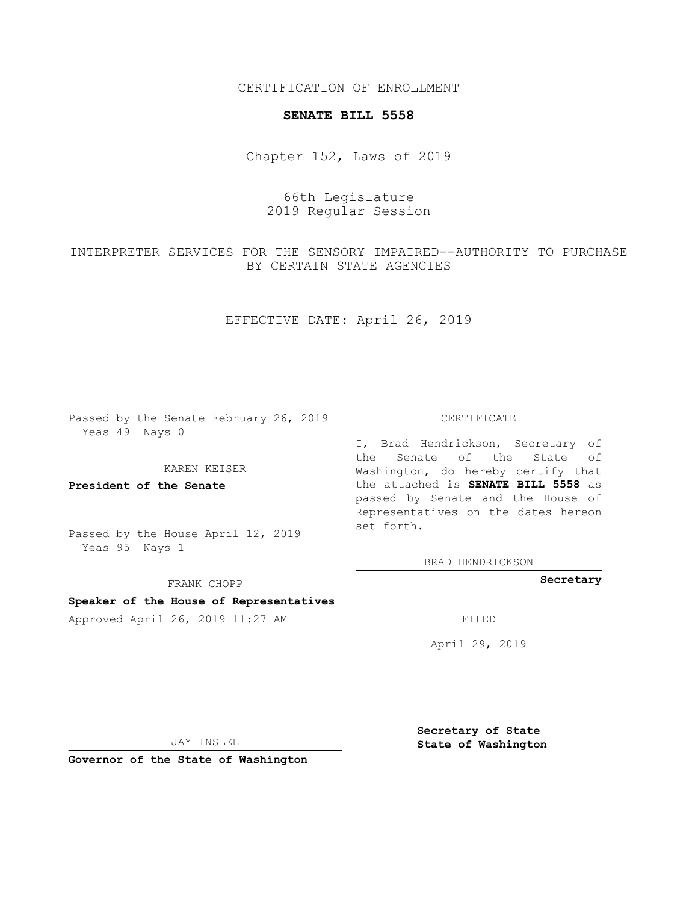CERTIFICATION OF ENROLLMENT

### **SENATE BILL 5558**

Chapter 152, Laws of 2019

# 66th Legislature 2019 Regular Session

INTERPRETER SERVICES FOR THE SENSORY IMPAIRED--AUTHORITY TO PURCHASE BY CERTAIN STATE AGENCIES

EFFECTIVE DATE: April 26, 2019

Passed by the Senate February 26, 2019 Yeas 49 Nays 0

KAREN KEISER

**President of the Senate**

Passed by the House April 12, 2019 Yeas 95 Nays 1

FRANK CHOPP

## **Speaker of the House of Representatives**

Approved April 26, 2019 11:27 AM

#### CERTIFICATE

I, Brad Hendrickson, Secretary of the Senate of the State of Washington, do hereby certify that the attached is **SENATE BILL 5558** as passed by Senate and the House of Representatives on the dates hereon set forth.

BRAD HENDRICKSON

**Secretary**

April 29, 2019

JAY INSLEE

**Governor of the State of Washington**

**Secretary of State State of Washington**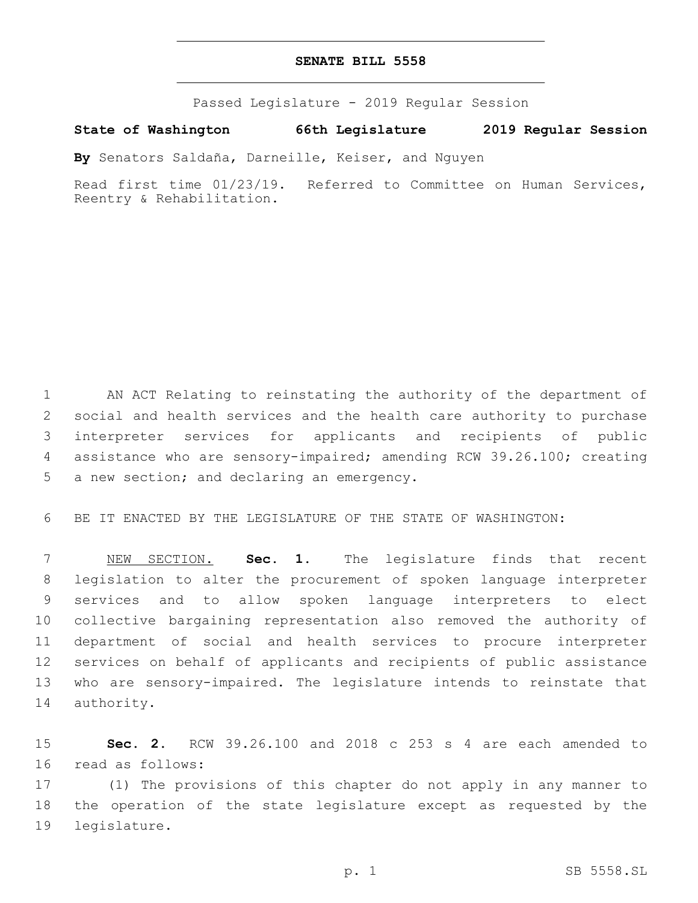## **SENATE BILL 5558**

Passed Legislature - 2019 Regular Session

**State of Washington 66th Legislature 2019 Regular Session**

**By** Senators Saldaña, Darneille, Keiser, and Nguyen

Read first time 01/23/19. Referred to Committee on Human Services, Reentry & Rehabilitation.

 AN ACT Relating to reinstating the authority of the department of social and health services and the health care authority to purchase interpreter services for applicants and recipients of public assistance who are sensory-impaired; amending RCW 39.26.100; creating 5 a new section; and declaring an emergency.

BE IT ENACTED BY THE LEGISLATURE OF THE STATE OF WASHINGTON:

 NEW SECTION. **Sec. 1.** The legislature finds that recent legislation to alter the procurement of spoken language interpreter services and to allow spoken language interpreters to elect collective bargaining representation also removed the authority of department of social and health services to procure interpreter services on behalf of applicants and recipients of public assistance who are sensory-impaired. The legislature intends to reinstate that authority.

 **Sec. 2.** RCW 39.26.100 and 2018 c 253 s 4 are each amended to 16 read as follows:

 (1) The provisions of this chapter do not apply in any manner to the operation of the state legislature except as requested by the 19 legislature.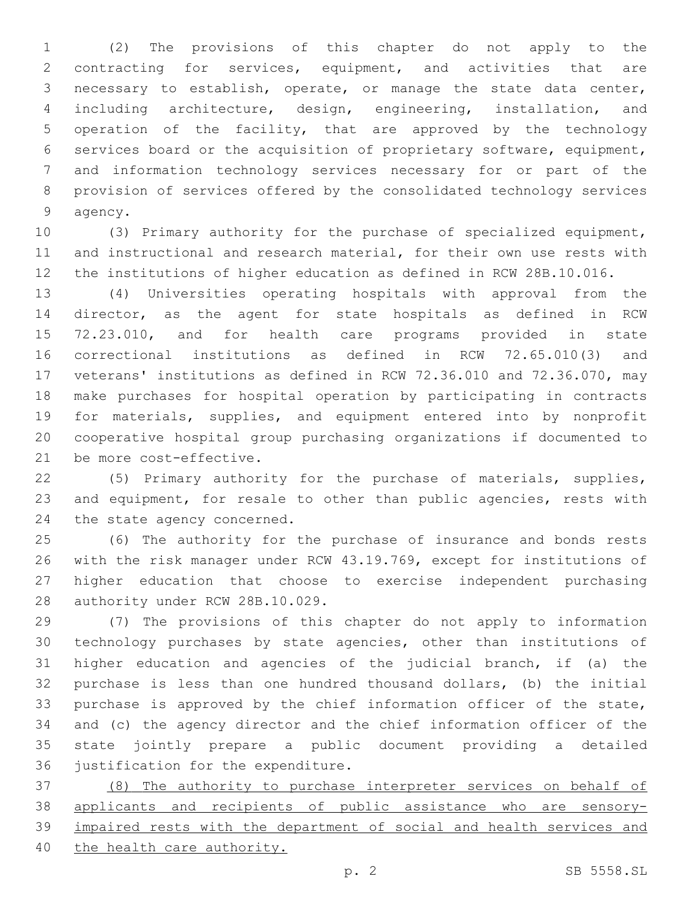(2) The provisions of this chapter do not apply to the contracting for services, equipment, and activities that are necessary to establish, operate, or manage the state data center, including architecture, design, engineering, installation, and operation of the facility, that are approved by the technology services board or the acquisition of proprietary software, equipment, and information technology services necessary for or part of the provision of services offered by the consolidated technology services 9 agency.

 (3) Primary authority for the purchase of specialized equipment, and instructional and research material, for their own use rests with the institutions of higher education as defined in RCW 28B.10.016.

 (4) Universities operating hospitals with approval from the director, as the agent for state hospitals as defined in RCW 72.23.010, and for health care programs provided in state correctional institutions as defined in RCW 72.65.010(3) and veterans' institutions as defined in RCW 72.36.010 and 72.36.070, may make purchases for hospital operation by participating in contracts for materials, supplies, and equipment entered into by nonprofit cooperative hospital group purchasing organizations if documented to 21 be more cost-effective.

 (5) Primary authority for the purchase of materials, supplies, and equipment, for resale to other than public agencies, rests with 24 the state agency concerned.

 (6) The authority for the purchase of insurance and bonds rests with the risk manager under RCW 43.19.769, except for institutions of higher education that choose to exercise independent purchasing 28 authority under RCW 28B.10.029.

 (7) The provisions of this chapter do not apply to information technology purchases by state agencies, other than institutions of higher education and agencies of the judicial branch, if (a) the purchase is less than one hundred thousand dollars, (b) the initial purchase is approved by the chief information officer of the state, and (c) the agency director and the chief information officer of the state jointly prepare a public document providing a detailed 36 justification for the expenditure.

 (8) The authority to purchase interpreter services on behalf of applicants and recipients of public assistance who are sensory- impaired rests with the department of social and health services and the health care authority.